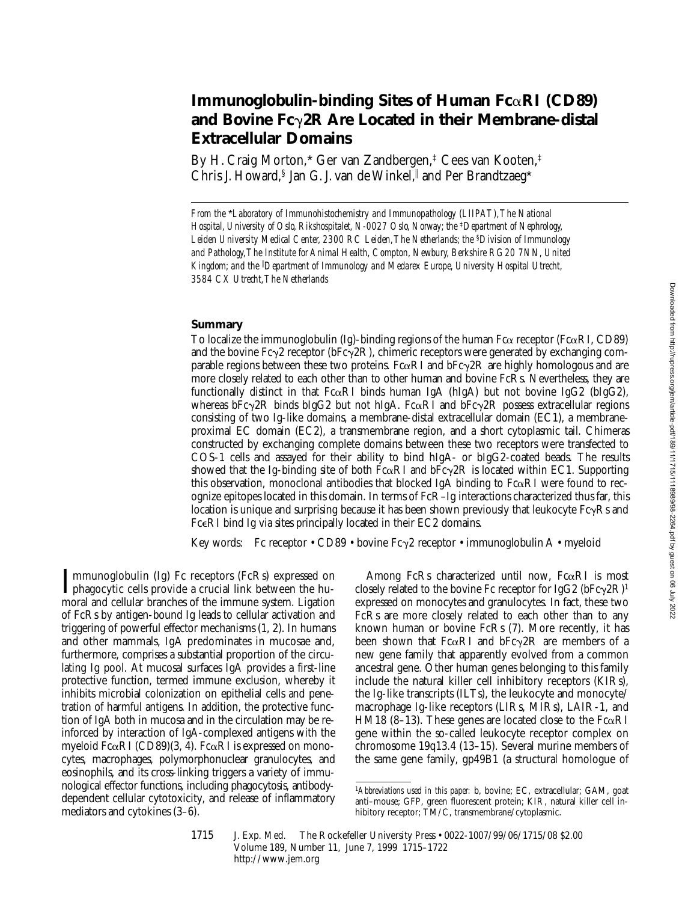# **Immunoglobulin-binding Sites of Human Fc**a**RI (CD89) and Bovine Fc**g**2R Are Located in their Membrane-distal Extracellular Domains**

By H. Craig Morton,\* Ger van Zandbergen,‡ Cees van Kooten,‡ Chris J. Howard,§ Jan G. J. van de Winkel,∥ and Per Brandtzaeg\*

*From the* \**Laboratory of Immunohistochemistry and Immunopathology (LIIPAT), The National Hospital, University of Oslo, Rikshospitalet, N-0027 Oslo, Norway; the* <sup>‡</sup>*Department of Nephrology, Leiden University Medical Center, 2300 RC Leiden, The Netherlands; the* §*Division of Immunology and Pathology, The Institute for Animal Health, Compton, Newbury, Berkshire RG20 7NN, United Kingdom; and the* <sup>i</sup> *Department of Immunology and Medarex Europe, University Hospital Utrecht, 3584 CX Utrecht, The Netherlands*

### **Summary**

To localize the immunoglobulin (Ig)-binding regions of the human  $Fc\alpha$  receptor ( $Fc\alpha RI$ , CD89) and the bovine Fc $\gamma$ 2 receptor (bFc $\gamma$ 2R), chimeric receptors were generated by exchanging comparable regions between these two proteins. Fc $\alpha$ RI and bFc $\gamma$ 2R are highly homologous and are more closely related to each other than to other human and bovine FcRs. Nevertheless, they are functionally distinct in that  $Fc\alpha RI$  binds human IgA (hIgA) but not bovine IgG2 (bIgG2), whereas bFc $\gamma$ 2R binds bIgG2 but not hIgA. Fc $\alpha$ RI and bFc $\gamma$ 2R possess extracellular regions consisting of two Ig-like domains, a membrane-distal extracellular domain (EC1), a membraneproximal EC domain (EC2), a transmembrane region, and a short cytoplasmic tail. Chimeras constructed by exchanging complete domains between these two receptors were transfected to COS-1 cells and assayed for their ability to bind hIgA- or bIgG2-coated beads. The results showed that the Ig-binding site of both  $Fc\alpha RI$  and  $bFc\gamma 2R$  is located within EC1. Supporting this observation, monoclonal antibodies that blocked IgA binding to  $Fc\alpha RI$  were found to recognize epitopes located in this domain. In terms of FcR–Ig interactions characterized thus far, this location is unique and surprising because it has been shown previously that leukocyte  $FcyRs$  and FceRI bind Ig via sites principally located in their EC2 domains.

Key words: Fc receptor • CD89 • bovine Fc $\gamma$ 2 receptor • immunoglobulin A • myeloid

Immunoglobulin (Ig) Fc receptors (FcRs) expressed on<br>phagocytic cells provide a crucial link between the hu-<br>manyl and cellular hunokes of the immune gratem. Lization mmunoglobulin (Ig) Fc receptors (FcRs) expressed on moral and cellular branches of the immune system. Ligation of FcRs by antigen-bound Ig leads to cellular activation and triggering of powerful effector mechanisms (1, 2). In humans and other mammals, IgA predominates in mucosae and, furthermore, comprises a substantial proportion of the circulating Ig pool. At mucosal surfaces IgA provides a first-line protective function, termed immune exclusion, whereby it inhibits microbial colonization on epithelial cells and penetration of harmful antigens. In addition, the protective function of IgA both in mucosa and in the circulation may be reinforced by interaction of IgA-complexed antigens with the myeloid F $c\alpha$ RI (CD89)(3, 4). F $c\alpha$ RI is expressed on monocytes, macrophages, polymorphonuclear granulocytes, and eosinophils, and its cross-linking triggers a variety of immunological effector functions, including phagocytosis, antibodydependent cellular cytotoxicity, and release of inflammatory mediators and cytokines (3–6).

Among FcRs characterized until now,  $Fc\alpha RI$  is most closely related to the bovine Fc receptor for IgG2 ( $bFc\gamma$ 2R)<sup>1</sup> expressed on monocytes and granulocytes. In fact, these two FcRs are more closely related to each other than to any known human or bovine FcRs (7). More recently, it has been shown that Fc $\alpha$ RI and bFc $\gamma$ 2R are members of a new gene family that apparently evolved from a common ancestral gene. Other human genes belonging to this family include the natural killer cell inhibitory receptors (KIRs), the Ig-like transcripts (ILTs), the leukocyte and monocyte/ macrophage Ig-like receptors (LIRs, MIRs), LAIR-1, and HM18 (8–13). These genes are located close to the  $Fc\alpha RI$ gene within the so-called leukocyte receptor complex on chromosome 19q13.4 (13–15). Several murine members of the same gene family, gp49B1 (a structural homologue of

1715 J. Exp. Med. The Rockefeller University Press • 0022-1007/99/06/1715/08 \$2.00 Volume 189, Number 11, June 7, 1999 1715–1722 http://www.jem.org

<sup>1</sup>*Abbreviations used in this paper:* b, bovine; EC, extracellular; GAM, goat anti–mouse; GFP, green fluorescent protein; KIR, natural killer cell inhibitory receptor; TM/C, transmembrane/cytoplasmic.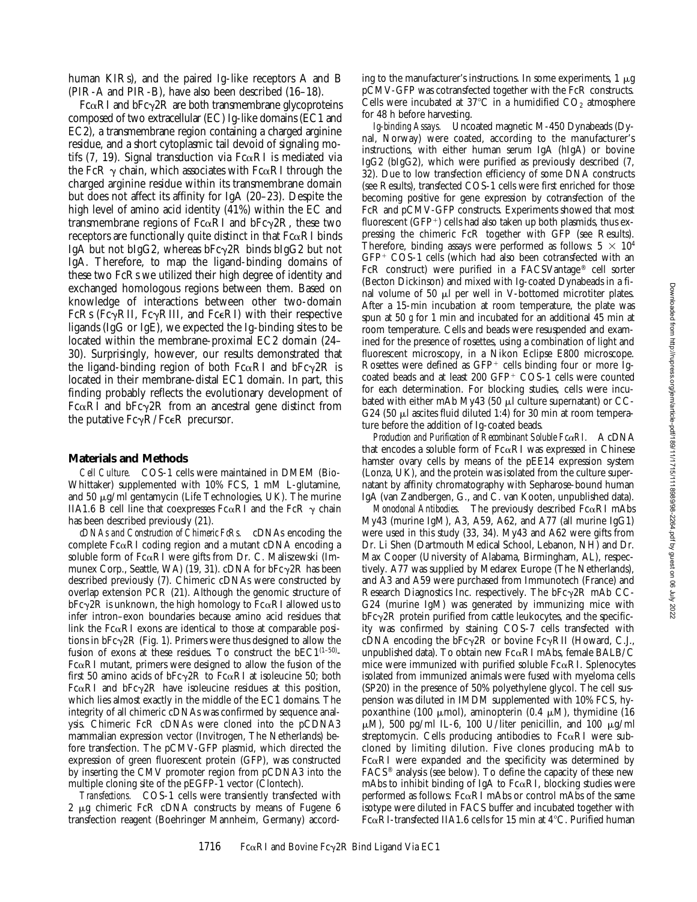human KIRs), and the paired Ig-like receptors A and B (PIR-A and PIR-B), have also been described (16–18).

 $Fc\alphaRI$  and  $bFc\gamma2R$  are both transmembrane glycoproteins composed of two extracellular (EC) Ig-like domains (EC1 and EC2), a transmembrane region containing a charged arginine residue, and a short cytoplasmic tail devoid of signaling motifs (7, 19). Signal transduction via  $Fc\alpha RI$  is mediated via the FcR  $\gamma$  chain, which associates with Fc $\alpha$ RI through the charged arginine residue within its transmembrane domain but does not affect its affinity for IgA (20–23). Despite the high level of amino acid identity (41%) within the EC and transmembrane regions of  $Fc\alpha RI$  and  $bFc\gamma 2R$ , these two receptors are functionally quite distinct in that  $Fc\alpha RI$  binds IgA but not bIgG2, whereas  $bFc\gamma$ <sub>2</sub>R binds bIgG<sub>2</sub> but not IgA. Therefore, to map the ligand-binding domains of these two FcRs we utilized their high degree of identity and exchanged homologous regions between them. Based on knowledge of interactions between other two-domain FcRs (Fc $\gamma$ RII, Fc $\gamma$ RIII, and Fc $\epsilon$ RI) with their respective ligands (IgG or IgE), we expected the Ig-binding sites to be located within the membrane-proximal EC2 domain (24– 30). Surprisingly, however, our results demonstrated that the ligand-binding region of both  $Fc\alpha RI$  and  $bFc\gamma 2R$  is located in their membrane-distal EC1 domain. In part, this finding probably reflects the evolutionary development of Fc $\alpha$ RI and bFc $\gamma$ 2R from an ancestral gene distinct from the putative  $Fc\gamma R/Fc\epsilon R$  precursor.

#### **Materials and Methods**

*Cell Culture.* COS-1 cells were maintained in DMEM (Bio-Whittaker) supplemented with 10% FCS, 1 mM L-glutamine, and 50  $\mu$ g/ml gentamycin (Life Technologies, UK). The murine IIA1.6 B cell line that coexpresses Fc $\alpha$ RI and the FcR  $\gamma$  chain has been described previously (21).

*cDNAs and Construction of Chimeric FcRs.* cDNAs encoding the complete  $Fc\alpha RI$  coding region and a mutant cDNA encoding a soluble form of  $Fc\alpha RI$  were gifts from Dr. C. Maliszewski (Immunex Corp., Seattle, WA) (19, 31). cDNA for  $bFc\gamma 2R$  has been described previously (7). Chimeric cDNAs were constructed by overlap extension PCR (21). Although the genomic structure of  $bFc\gamma$ <sub>2</sub>R is unknown, the high homology to  $Fc\alpha$ <sub>EI</sub> allowed us to infer intron–exon boundaries because amino acid residues that link the  $Fc\alpha RI$  exons are identical to those at comparable positions in  $bFc\gamma 2R$  (Fig. 1). Primers were thus designed to allow the fusion of exons at these residues. To construct the  $bEC1^{(1-50)}$ - $Fc\alpha RI$  mutant, primers were designed to allow the fusion of the first 50 amino acids of  $bFc\gamma 2R$  to  $Fc\alpha RI$  at isoleucine 50; both Fc $\alpha$ RI and bFc $\gamma$ 2R have isoleucine residues at this position, which lies almost exactly in the middle of the EC1 domains. The integrity of all chimeric cDNAs was confirmed by sequence analysis. Chimeric FcR cDNAs were cloned into the pCDNA3 mammalian expression vector (Invitrogen, The Netherlands) before transfection. The pCMV-GFP plasmid, which directed the expression of green fluorescent protein (GFP), was constructed by inserting the CMV promoter region from pCDNA3 into the multiple cloning site of the pEGFP-1 vector (Clontech).

*Transfections.* COS-1 cells were transiently transfected with 2  $\mu$ g chimeric FcR cDNA constructs by means of Fugene 6 transfection reagent (Boehringer Mannheim, Germany) accord-

ing to the manufacturer's instructions. In some experiments,  $1 \mu$ g pCMV-GFP was cotransfected together with the FcR constructs. Cells were incubated at 37 $^{\circ}$ C in a humidified CO<sub>2</sub> atmosphere for 48 h before harvesting.

*Ig-binding Assays.* Uncoated magnetic M-450 Dynabeads (Dynal, Norway) were coated, according to the manufacturer's instructions, with either human serum IgA (hIgA) or bovine IgG2 (bIgG2), which were purified as previously described (7, 32). Due to low transfection efficiency of some DNA constructs (see Results), transfected COS-1 cells were first enriched for those becoming positive for gene expression by cotransfection of the FcR and pCMV-GFP constructs. Experiments showed that most fluorescent  $(GFP<sup>+</sup>)$  cells had also taken up both plasmids, thus expressing the chimeric FcR together with GFP (see Results). Therefore, binding assays were performed as follows:  $5 \times 10^4$  $GFP+COS-1$  cells (which had also been cotransfected with an FcR construct) were purified in a FACSVantage® cell sorter (Becton Dickinson) and mixed with Ig-coated Dynabeads in a final volume of 50  $\mu$ l per well in V-bottomed microtiter plates. After a 15-min incubation at room temperature, the plate was spun at 50 *g* for 1 min and incubated for an additional 45 min at room temperature. Cells and beads were resuspended and examined for the presence of rosettes, using a combination of light and fluorescent microscopy, in a Nikon Eclipse E800 microscope. Rosettes were defined as  $GFP^+$  cells binding four or more  $Ig$ coated beads and at least 200 GFP+  $COS-1$  cells were counted for each determination. For blocking studies, cells were incubated with either mAb My43 (50  $\mu$ l culture supernatant) or CC-G24 (50  $\mu$ l ascites fluid diluted 1:4) for 30 min at room temperature before the addition of Ig-coated beads.

*Production and Purification of Recombinant Soluble Fc*a*RI.* A cDNA that encodes a soluble form of  $Fc\alpha RI$  was expressed in Chinese hamster ovary cells by means of the pEE14 expression system (Lonza, UK), and the protein was isolated from the culture supernatant by affinity chromatography with Sepharose-bound human IgA (van Zandbergen, G., and C. van Kooten, unpublished data).

*Monoclonal Antibodies.* The previously described  $Fc\alpha RI$  mAbs My43 (murine IgM), A3, A59, A62, and A77 (all murine IgG1) were used in this study (33, 34). My43 and A62 were gifts from Dr. Li Shen (Dartmouth Medical School, Lebanon, NH) and Dr. Max Cooper (University of Alabama, Birmingham, AL), respectively. A77 was supplied by Medarex Europe (The Netherlands), and A3 and A59 were purchased from Immunotech (France) and Research Diagnostics Inc. respectively. The  $bFc\gamma 2R$  mAb CC-G24 (murine IgM) was generated by immunizing mice with  $bFc\gamma$ <sub>2</sub>R protein purified from cattle leukocytes, and the specificity was confirmed by staining COS-7 cells transfected with cDNA encoding the  $bFc\gamma 2R$  or bovine  $Fc\gamma RII$  (Howard, C.J., unpublished data). To obtain new  $Fc\alpha RI$  mAbs, female BALB/C mice were immunized with purified soluble  $Fc\alpha RI$ . Splenocytes isolated from immunized animals were fused with myeloma cells (SP20) in the presence of 50% polyethylene glycol. The cell suspension was diluted in IMDM supplemented with 10% FCS, hypoxanthine (100  $\mu$ mol), aminopterin (0.4  $\mu$ M), thymidine (16  $\mu$ M), 500 pg/ml IL-6, 100 U/liter penicillin, and 100  $\mu$ g/ml streptomycin. Cells producing antibodies to  $Fc\alpha RI$  were subcloned by limiting dilution. Five clones producing mAb to  $Fc\alpha RI$  were expanded and the specificity was determined by FACS® analysis (see below). To define the capacity of these new mAbs to inhibit binding of IgA to  $Fc\alpha RI$ , blocking studies were performed as follows:  $Fc\alpha RI$  mAbs or control mAbs of the same isotype were diluted in FACS buffer and incubated together with  $Fc\alpha RI$ -transfected IIA1.6 cells for 15 min at 4°C. Purified human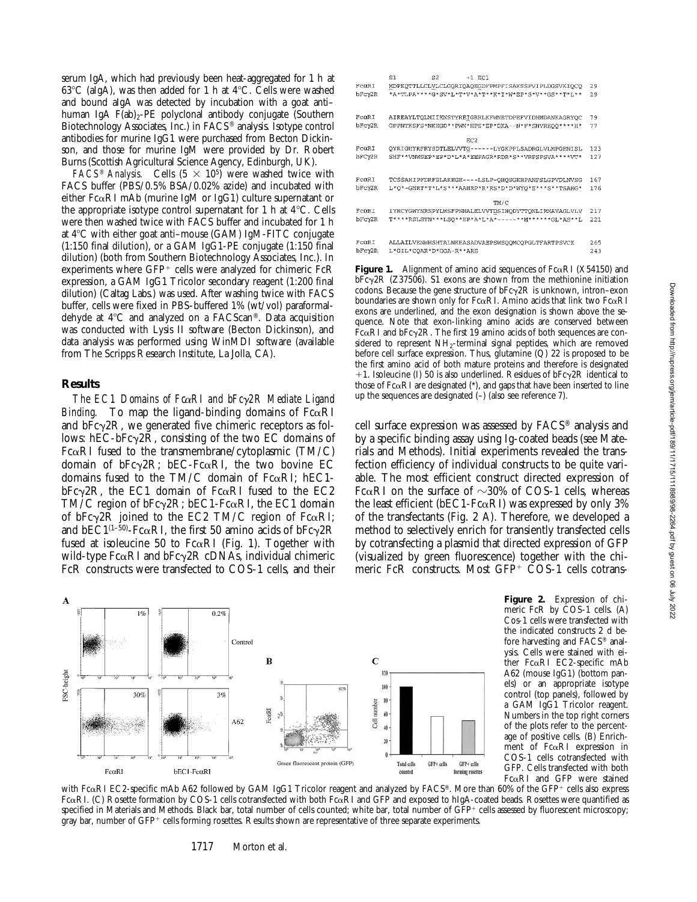serum IgA, which had previously been heat-aggregated for 1 h at 63°C (aIgA), was then added for 1 h at  $4^{\circ}$ C. Cells were washed and bound aIgA was detected by incubation with a goat anti– human IgA  $F(ab)_{2}$ -PE polyclonal antibody conjugate (Southern Biotechnology Associates, Inc.) in FACS® analysis. Isotype control antibodies for murine IgG1 were purchased from Becton Dickinson, and those for murine IgM were provided by Dr. Robert Burns (Scottish Agricultural Science Agency, Edinburgh, UK).

*FACS<sup>®</sup> Analysis.* Cells  $(5 \times 10^5)$  were washed twice with FACS buffer (PBS/0.5% BSA/0.02% azide) and incubated with either  $Fc\alpha RI$  mAb (murine IgM or IgG1) culture supernatant or the appropriate isotype control supernatant for 1 h at  $4^{\circ}$ C. Cells were then washed twice with FACS buffer and incubated for 1 h at  $4^{\circ}$ C with either goat anti-mouse (GAM) IgM-FITC conjugate (1:150 final dilution), or a GAM IgG1-PE conjugate (1:150 final dilution) (both from Southern Biotechnology Associates, Inc.). In experiments where  $GFP^+$  cells were analyzed for chimeric  $FcR$ expression, a GAM IgG1 Tricolor secondary reagent (1:200 final dilution) (Caltag Labs.) was used. After washing twice with FACS buffer, cells were fixed in PBS-buffered 1% (wt/vol) paraformaldehyde at 4°C and analyzed on a FACScan®. Data acquisition was conducted with Lysis II software (Becton Dickinson), and data analysis was performed using WinMDI software (available from The Scripps Research Institute, La Jolla, CA).

#### **Results**

*The EC1 Domains of Fc*a*RI and bFc*g*2R Mediate Ligand Binding.* To map the ligand-binding domains of  $Fc\alpha RI$ and  $bFc\gamma 2R$ , we generated five chimeric receptors as follows:  $hEC-bFc\gamma 2R$ , consisting of the two EC domains of Fc $\alpha$ RI fused to the transmembrane/cytoplasmic (TM/C) domain of  $bFc\gamma 2R$ ;  $bEC-Fc\alpha RI$ , the two bovine EC domains fused to the TM/C domain of  $Fc\alpha RI$ : hEC1bFc $\gamma$ 2R, the EC1 domain of Fc $\alpha$ RI fused to the EC2 TM/C region of  $bFc\gamma 2R$ ;  $bEC1-Fc\alpha RI$ , the EC1 domain of bFc $\gamma$ 2R joined to the EC2 TM/C region of Fc $\alpha$ RI; and bEC1(1-50)-Fc $\alpha$ RI, the first 50 amino acids of bFc $\gamma$ 2R fused at isoleucine 50 to Fc $\alpha$ RI (Fig. 1). Together with wild-type  $Fc\alpha RI$  and  $bFc\gamma 2R$  cDNAs, individual chimeric FcR constructs were transfected to COS-1 cells, and their



**Figure 1.** Alignment of amino acid sequences of  $Fc\alpha RI$  (X54150) and  $bFc\sim 2R$  ( $Z37506$ ). S1 exons are shown from the methionine initiation codons. Because the gene structure of  $bFc\gamma 2R$  is unknown, intron–exon boundaries are shown only for Fc $\alpha$ RI. Amino acids that link two Fc $\alpha$ RI exons are underlined, and the exon designation is shown above the sequence. Note that exon-linking amino acids are conserved between Fc $\alpha$ RI and bFc $\gamma$ 2R. The first 19 amino acids of both sequences are considered to represent  $NH<sub>2</sub>$ -terminal signal peptides, which are removed before cell surface expression. Thus, glutamine (Q) 22 is proposed to be the first amino acid of both mature proteins and therefore is designated +1. Isoleucine (I) 50 is also underlined. Residues of  $bFc\gamma 2R$  identical to those of  $Fc\alpha RI$  are designated (\*), and gaps that have been inserted to line up the sequences are designated (–) (also see reference 7).

cell surface expression was assessed by FACS® analysis and by a specific binding assay using Ig-coated beads (see Materials and Methods). Initial experiments revealed the transfection efficiency of individual constructs to be quite variable. The most efficient construct directed expression of Fc $\alpha$ RI on the surface of  $\sim$ 30% of COS-1 cells, whereas the least efficient ( $bEC1$ -Fc $\alpha$ RI) was expressed by only 3% of the transfectants (Fig. 2 A). Therefore, we developed a method to selectively enrich for transiently transfected cells by cotransfecting a plasmid that directed expression of GFP (visualized by green fluorescence) together with the chimeric FcR constructs. Most  $GFP+$  COS-1 cells cotrans-



**Figure 2.** Expression of chimeric FcR by COS-1 cells. (A) Cos-1 cells were transfected with the indicated constructs 2 d before harvesting and FACS® analysis. Cells were stained with either FcaRI EC2-specific mAb A62 (mouse IgG1) (bottom panels) or an appropriate isotype control (top panels), followed by a GAM IgG1 Tricolor reagent. Numbers in the top right corners of the plots refer to the percentage of positive cells. (B) Enrichment of  $Fc\alpha RI$  expression in COS-1 cells cotransfected with GFP. Cells transfected with both FcaRI and GFP were stained

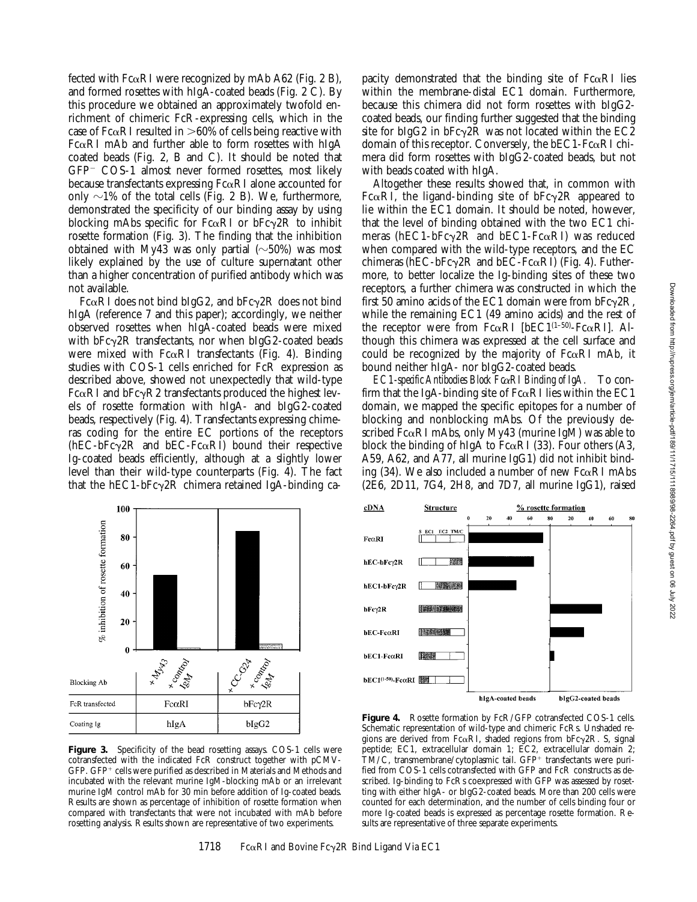fected with  $Fc\alpha RI$  were recognized by mAb A62 (Fig. 2 B), and formed rosettes with hIgA-coated beads (Fig. 2 C). By this procedure we obtained an approximately twofold enrichment of chimeric FcR-expressing cells, which in the case of Fc $\alpha$ RI resulted in  $>60\%$  of cells being reactive with  $Fc\alpha RI$  mAb and further able to form rosettes with hIgA coated beads (Fig. 2, B and C). It should be noted that  $GFP-$  COS-1 almost never formed rosettes, most likely because transfectants expressing  $Fc\alpha RI$  alone accounted for only  $\sim$ 1% of the total cells (Fig. 2 B). We, furthermore, demonstrated the specificity of our binding assay by using blocking mAbs specific for  $Fc\alpha RI$  or  $bFc\gamma 2R$  to inhibit rosette formation (Fig. 3). The finding that the inhibition obtained with My43 was only partial  $(\sim)50\%$  was most likely explained by the use of culture supernatant other than a higher concentration of purified antibody which was not available.

Fc $\alpha$ RI does not bind bIgG2, and bFc $\gamma$ 2R does not bind hIgA (reference 7 and this paper); accordingly, we neither observed rosettes when hIgA-coated beads were mixed with  $bFc\gamma 2R$  transfectants, nor when  $bIgG2$ -coated beads were mixed with  $Fc\alpha RI$  transfectants (Fig. 4). Binding studies with COS-1 cells enriched for FcR expression as described above, showed not unexpectedly that wild-type  $Fc\alphaRI$  and  $bFc\gammaR2$  transfectants produced the highest levels of rosette formation with hIgA- and bIgG2-coated beads, respectively (Fig. 4). Transfectants expressing chimeras coding for the entire EC portions of the receptors  $(hEC-bFc\gamma^2R$  and  $bEC-Fc\alpha RI)$  bound their respective Ig-coated beads efficiently, although at a slightly lower level than their wild-type counterparts (Fig. 4). The fact that the hEC1-bFc $\gamma$ 2R chimera retained IgA-binding ca-

pacity demonstrated that the binding site of  $Fc\alpha RI$  lies within the membrane-distal EC1 domain. Furthermore, because this chimera did not form rosettes with bIgG2 coated beads, our finding further suggested that the binding site for bIgG2 in bFc $\gamma$ 2R was not located within the EC2 domain of this receptor. Conversely, the  $bEC1-Fc\alpha RI$  chimera did form rosettes with bIgG2-coated beads, but not with beads coated with hIgA.

Altogether these results showed that, in common with Fc $\alpha$ RI, the ligand-binding site of bFc $\gamma$ 2R appeared to lie within the EC1 domain. It should be noted, however, that the level of binding obtained with the two EC1 chimeras (hEC1-bFc $\gamma$ 2R and bEC1-Fc $\alpha$ RI) was reduced when compared with the wild-type receptors, and the EC chimeras (hEC-bFc $\gamma$ 2R and bEC-Fc $\alpha$ RI) (Fig. 4). Futhermore, to better localize the Ig-binding sites of these two receptors, a further chimera was constructed in which the first 50 amino acids of the EC1 domain were from  $bFc\gamma 2R$ , while the remaining EC1 (49 amino acids) and the rest of the receptor were from  $Fc\alpha RI$  [bEC1<sup>(1–50)</sup>- $Fc\alpha RI$ ]. Although this chimera was expressed at the cell surface and could be recognized by the majority of  $Fc\alpha RI$  mAb, it bound neither hIgA- nor bIgG2-coated beads.

*EC1-specific Antibodies Block Fc*a*RI Binding of IgA.* To confirm that the IgA-binding site of  $Fc\alpha RI$  lies within the EC1 domain, we mapped the specific epitopes for a number of blocking and nonblocking mAbs. Of the previously described  $Fc\alpha RI$  mAbs, only My43 (murine IgM) was able to block the binding of hIgA to  $Fc\alpha RI$  (33). Four others (A3, A59, A62, and A77, all murine IgG1) did not inhibit binding (34). We also included a number of new  $Fc\alpha RI$  mAbs (2E6, 2D11, 7G4, 2H8, and 7D7, all murine IgG1), raised



100

cotransfected with the indicated FcR construct together with pCMV-GFP. GFP<sup>+</sup> cells were purified as described in Materials and Methods and incubated with the relevant murine IgM-blocking mAb or an irrelevant murine IgM control mAb for 30 min before addition of Ig-coated beads. Results are shown as percentage of inhibition of rosette formation when compared with transfectants that were not incubated with mAb before rosetting analysis. Results shown are representative of two experiments.



Figure 4. Rosette formation by FcR/GFP cotransfected COS-1 cells. Schematic representation of wild-type and chimeric FcRs. Unshaded regions are derived from Fc $\alpha$ RI, shaded regions from bFc $\gamma$ 2R. S, signal peptide; EC1, extracellular domain 1; EC2, extracellular domain 2;  $TM/C$ , transmembrane/cytoplasmic tail.  $GFP+$  transfectants were purified from COS-1 cells cotransfected with GFP and FcR constructs as described. Ig-binding to FcRs coexpressed with GFP was assessed by rosetting with either hIgA- or bIgG2-coated beads. More than 200 cells were counted for each determination, and the number of cells binding four or more Ig-coated beads is expressed as percentage rosette formation. Results are representative of three separate experiments.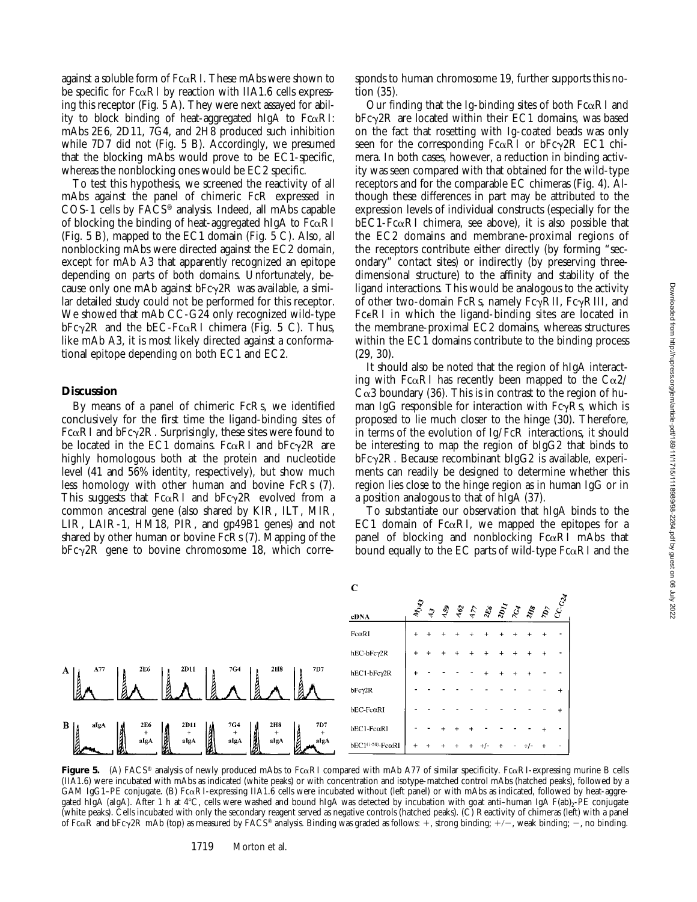against a soluble form of  $Fc\alpha RI$ . These mAbs were shown to be specific for  $Fc\alpha RI$  by reaction with IIA1.6 cells expressing this receptor (Fig. 5 A). They were next assayed for ability to block binding of heat-aggregated hIgA to  $F \alpha R I$ : mAbs 2E6, 2D11, 7G4, and 2H8 produced such inhibition while 7D7 did not (Fig. 5 B). Accordingly, we presumed that the blocking mAbs would prove to be EC1-specific, whereas the nonblocking ones would be EC2 specific.

To test this hypothesis, we screened the reactivity of all mAbs against the panel of chimeric FcR expressed in COS-1 cells by FACS® analysis. Indeed, all mAbs capable of blocking the binding of heat-aggregated hIgA to  $Fc\alpha RI$ (Fig. 5 B), mapped to the EC1 domain (Fig. 5 C). Also, all nonblocking mAbs were directed against the EC2 domain, except for mAb A3 that apparently recognized an epitope depending on parts of both domains. Unfortunately, because only one mAb against  $bFc\gamma 2R$  was available, a similar detailed study could not be performed for this receptor. We showed that mAb CC-G24 only recognized wild-type  $bFc\gamma 2R$  and the  $bEC-Fc\alpha RI$  chimera (Fig. 5 C). Thus, like mAb A3, it is most likely directed against a conformational epitope depending on both EC1 and EC2.

#### **Discussion**

By means of a panel of chimeric FcRs, we identified conclusively for the first time the ligand-binding sites of Fc $\alpha$ RI and bFc $\gamma$ 2R. Surprisingly, these sites were found to be located in the EC1 domains. Fc $\alpha$ RI and bFc $\gamma$ 2R are highly homologous both at the protein and nucleotide level (41 and 56% identity, respectively), but show much less homology with other human and bovine FcRs (7). This suggests that  $Fc\alpha RI$  and  $bFc\gamma 2R$  evolved from a common ancestral gene (also shared by KIR, ILT, MIR, LIR, LAIR-1, HM18, PIR, and gp49B1 genes) and not shared by other human or bovine FcRs (7). Mapping of the  $bFc\gamma 2R$  gene to bovine chromosome 18, which corresponds to human chromosome 19, further supports this notion (35).

Our finding that the Ig-binding sites of both  $Fc\alpha RI$  and  $bFc\gamma$ 2R are located within their EC1 domains, was based on the fact that rosetting with Ig-coated beads was only seen for the corresponding  $Fc\alpha RI$  or  $bFc\gamma 2R$  EC1 chimera. In both cases, however, a reduction in binding activity was seen compared with that obtained for the wild-type receptors and for the comparable EC chimeras (Fig. 4). Although these differences in part may be attributed to the expression levels of individual constructs (especially for the  $bEC1-Fc\alpha RI$  chimera, see above), it is also possible that the EC2 domains and membrane-proximal regions of the receptors contribute either directly (by forming "secondary" contact sites) or indirectly (by preserving threedimensional structure) to the affinity and stability of the ligand interactions. This would be analogous to the activity of other two-domain FcRs, namely Fc $\gamma$ RII, Fc $\gamma$ RIII, and FceRI in which the ligand-binding sites are located in the membrane-proximal EC2 domains, whereas structures within the EC1 domains contribute to the binding process (29, 30).

It should also be noted that the region of hIgA interacting with Fc $\alpha$ RI has recently been mapped to the C $\alpha$ 2/  $C\alpha$ 3 boundary (36). This is in contrast to the region of human IgG responsible for interaction with  $Fc\gamma Rs$ , which is proposed to lie much closer to the hinge (30). Therefore, in terms of the evolution of Ig/FcR interactions, it should be interesting to map the region of bIgG2 that binds to  $bFc\gamma$ <sub>2</sub>R. Because recombinant bIgG<sub>2</sub> is available, experiments can readily be designed to determine whether this region lies close to the hinge region as in human IgG or in a position analogous to that of hIgA (37).

To substantiate our observation that hIgA binds to the EC1 domain of F $c\alpha$ RI, we mapped the epitopes for a panel of blocking and nonblocking  $Fc\alpha RI$  mAbs that bound equally to the EC parts of wild-type  $Fc\alpha RI$  and the



**Figure 5.** (A) FACS® analysis of newly produced mAbs to FcaRI compared with mAb A77 of similar specificity. FcaRI-expressing murine B cells (IIA1.6) were incubated with mAbs as indicated (white peaks) or with concentration and isotype-matched control mAbs (hatched peaks), followed by a GAM IgG1–PE conjugate. (B) FcaRI-expressing IIA1.6 cells were incubated without (left panel) or with mAbs as indicated, followed by heat-aggregated hIgA (aIgA). After 1 h at 4°C, cells were washed and bound hIgA was detected by incubation with goat anti-human IgA F(ab)<sub>2</sub>-PE conjugate (white peaks). Cells incubated with only the secondary reagent served as negative controls (hatched peaks). (C) Reactivity of chimeras (left) with a panel of Fc $\alpha$ R and bFc $\gamma$ 2R mAb (top) as measured by FACS® analysis. Binding was graded as follows: +, strong binding; +/-, weak binding; -, no binding.

 $\overline{C}$ 

1719 Morton et al.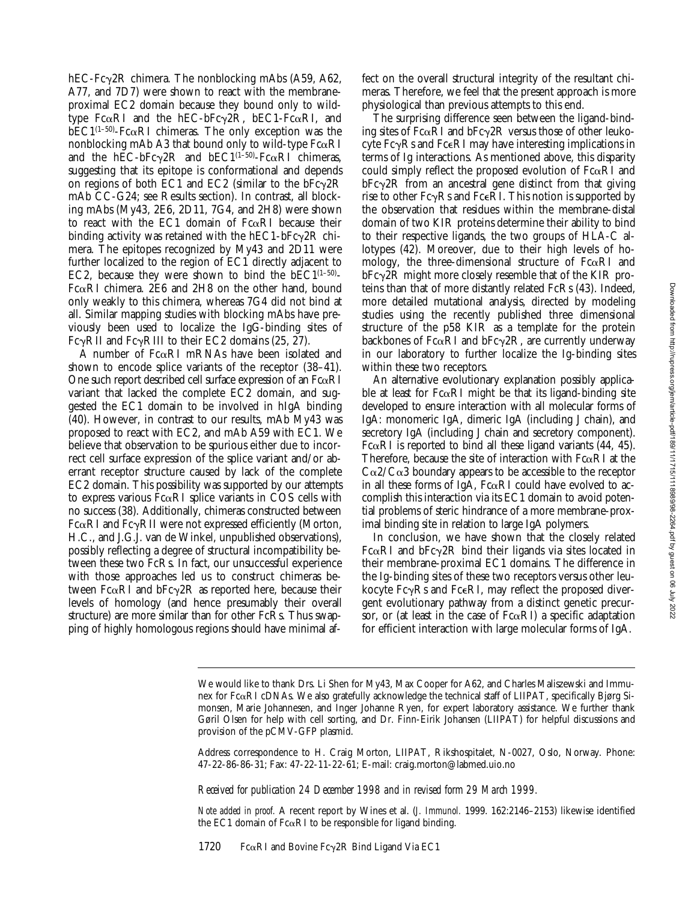hEC-Fc $\gamma$ 2R chimera. The nonblocking mAbs (A59, A62, A77, and 7D7) were shown to react with the membraneproximal EC2 domain because they bound only to wildtype Fc $\alpha$ RI and the hEC-bFc $\gamma$ 2R, bEC1-Fc $\alpha$ RI, and  $bEC1^{(1-50)}$ -Fc $\alpha$ RI chimeras. The only exception was the nonblocking mAb A3 that bound only to wild-type  $Fc\alpha RI$ and the hEC-bFc $\gamma$ 2R and bEC1<sup>(1–50)</sup>-Fc $\alpha$ RI chimeras, suggesting that its epitope is conformational and depends on regions of both EC1 and EC2 (similar to the  $bFc\gamma 2R$ mAb CC-G24; see Results section). In contrast, all blocking mAbs (My43, 2E6, 2D11, 7G4, and 2H8) were shown to react with the EC1 domain of  $Fc\alpha RI$  because their binding activity was retained with the  $hEC1-bFc\gamma^2R$  chimera. The epitopes recognized by My43 and 2D11 were further localized to the region of EC1 directly adjacent to EC2, because they were shown to bind the  $bEC1^{(1-50)}$ -Fc $\alpha$ RI chimera. 2E6 and 2H8 on the other hand, bound only weakly to this chimera, whereas 7G4 did not bind at all. Similar mapping studies with blocking mAbs have previously been used to localize the IgG-binding sites of Fc $\gamma$ RII and Fc $\gamma$ RIII to their EC2 domains (25, 27).

A number of  $Fc\alpha RI$  mRNAs have been isolated and shown to encode splice variants of the receptor (38–41). One such report described cell surface expression of an  $Fc\alpha RI$ variant that lacked the complete EC2 domain, and suggested the EC1 domain to be involved in hIgA binding (40). However, in contrast to our results, mAb My43 was proposed to react with EC2, and mAb A59 with EC1. We believe that observation to be spurious either due to incorrect cell surface expression of the splice variant and/or aberrant receptor structure caused by lack of the complete EC2 domain. This possibility was supported by our attempts to express various  $Fc\alpha RI$  splice variants in COS cells with no success (38). Additionally, chimeras constructed between  $Fc\alpha RI$  and  $Fc\gamma RI$  were not expressed efficiently (Morton, H.C., and J.G.J. van de Winkel, unpublished observations), possibly reflecting a degree of structural incompatibility between these two FcRs. In fact, our unsuccessful experience with those approaches led us to construct chimeras between Fc $\alpha$ RI and bFc $\gamma$ 2R as reported here, because their levels of homology (and hence presumably their overall structure) are more similar than for other FcRs. Thus swapping of highly homologous regions should have minimal affect on the overall structural integrity of the resultant chimeras. Therefore, we feel that the present approach is more physiological than previous attempts to this end.

The surprising difference seen between the ligand-binding sites of Fc $\alpha$ RI and bFc $\gamma$ 2R versus those of other leukocyte  $Fc\gamma Rs$  and  $Fc\epsilon R$ I may have interesting implications in terms of Ig interactions. As mentioned above, this disparity could simply reflect the proposed evolution of  $Fc\alpha RI$  and  $bFc\gamma$ <sub>2</sub>R from an ancestral gene distinct from that giving rise to other  $Fc\gamma Rs$  and  $Fc\epsilon R$ . This notion is supported by the observation that residues within the membrane-distal domain of two KIR proteins determine their ability to bind to their respective ligands, the two groups of HLA-C allotypes (42). Moreover, due to their high levels of homology, the three-dimensional structure of  $Fc\alpha RI$  and  $bFc\gamma$ 2R might more closely resemble that of the KIR proteins than that of more distantly related FcRs (43). Indeed, more detailed mutational analysis, directed by modeling studies using the recently published three dimensional structure of the p58 KIR as a template for the protein backbones of Fc $\alpha$ RI and bFc $\gamma$ 2R, are currently underway in our laboratory to further localize the Ig-binding sites within these two receptors.

An alternative evolutionary explanation possibly applicable at least for  $Fc\alpha RI$  might be that its ligand-binding site developed to ensure interaction with all molecular forms of IgA: monomeric IgA, dimeric IgA (including J chain), and secretory IgA (including J chain and secretory component). Fc $\alpha$ RI is reported to bind all these ligand variants (44, 45). Therefore, because the site of interaction with  $Fc\alpha RI$  at the  $C\alpha$ 2/C $\alpha$ 3 boundary appears to be accessible to the receptor in all these forms of IgA,  $Fc\alpha RI$  could have evolved to accomplish this interaction via its EC1 domain to avoid potential problems of steric hindrance of a more membrane-proximal binding site in relation to large IgA polymers.

In conclusion, we have shown that the closely related Fc $\alpha$ RI and bFc $\gamma$ 2R bind their ligands via sites located in their membrane-proximal EC1 domains. The difference in the Ig-binding sites of these two receptors versus other leukocyte  $Fc\gamma Rs$  and  $Fc\in R$ I, may reflect the proposed divergent evolutionary pathway from a distinct genetic precursor, or (at least in the case of  $Fc\alpha RI$ ) a specific adaptation for efficient interaction with large molecular forms of IgA.

Address correspondence to H. Craig Morton, LIIPAT, Rikshospitalet, N-0027, Oslo, Norway. Phone: 47-22-86-86-31; Fax: 47-22-11-22-61; E-mail: craig.morton@labmed.uio.no

*Received for publication 24 December 1998 and in revised form 29 March 1999.*

*Note added in proof.* A recent report by Wines et al. (*J. Immunol.* 1999. 162:2146–2153) likewise identified the EC1 domain of  $Fc\alpha$ RI to be responsible for ligand binding.

1720 Fc $\alpha$ RI and Bovine Fc $\gamma$ 2R Bind Ligand Via EC1

We would like to thank Drs. Li Shen for My43, Max Cooper for A62, and Charles Maliszewski and Immunex for FcaRI cDNAs. We also gratefully acknowledge the technical staff of LIIPAT, specifically Bjørg Simonsen, Marie Johannesen, and Inger Johanne Ryen, for expert laboratory assistance. We further thank Gøril Olsen for help with cell sorting, and Dr. Finn-Eirik Johansen (LIIPAT) for helpful discussions and provision of the pCMV-GFP plasmid.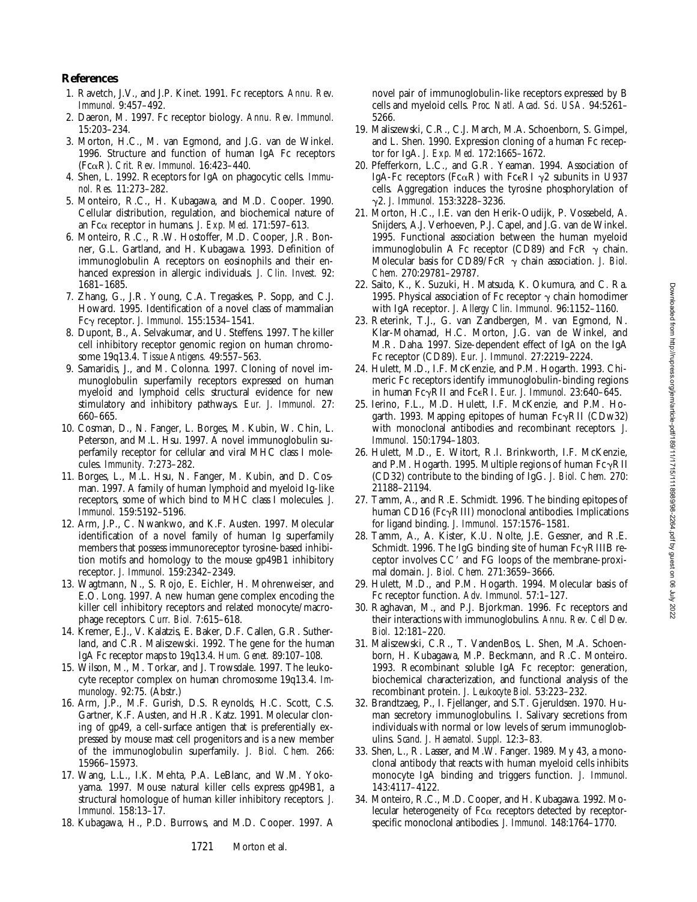## **References**

- 1. Ravetch, J.V., and J.P. Kinet. 1991. Fc receptors. *Annu. Rev. Immunol.* 9:457–492.
- 2. Daeron, M. 1997. Fc receptor biology. *Annu. Rev. Immunol.* 15:203–234.
- 3. Morton, H.C., M. van Egmond, and J.G. van de Winkel. 1996. Structure and function of human IgA Fc receptors (FcaR). *Crit. Rev. Immunol.* 16:423–440.
- 4. Shen, L. 1992. Receptors for IgA on phagocytic cells. *Immunol. Res.* 11:273–282.
- 5. Monteiro, R.C., H. Kubagawa, and M.D. Cooper. 1990. Cellular distribution, regulation, and biochemical nature of an Fca receptor in humans. *J. Exp. Med.* 171:597–613.
- 6. Monteiro, R.C., R.W. Hostoffer, M.D. Cooper, J.R. Bonner, G.L. Gartland, and H. Kubagawa. 1993. Definition of immunoglobulin A receptors on eosinophils and their enhanced expression in allergic individuals. *J. Clin. Invest.* 92: 1681–1685.
- 7. Zhang, G., J.R. Young, C.A. Tregaskes, P. Sopp, and C.J. Howard. 1995. Identification of a novel class of mammalian Fcg receptor. *J. Immunol.* 155:1534–1541.
- 8. Dupont, B., A. Selvakumar, and U. Steffens. 1997. The killer cell inhibitory receptor genomic region on human chromosome 19q13.4. *Tissue Antigens.* 49:557–563.
- 9. Samaridis, J., and M. Colonna. 1997. Cloning of novel immunoglobulin superfamily receptors expressed on human myeloid and lymphoid cells: structural evidence for new stimulatory and inhibitory pathways. *Eur. J. Immunol.* 27: 660–665.
- 10. Cosman, D., N. Fanger, L. Borges, M. Kubin, W. Chin, L. Peterson, and M.L. Hsu. 1997. A novel immunoglobulin superfamily receptor for cellular and viral MHC class I molecules. *Immunity.* 7:273–282.
- 11. Borges, L., M.L. Hsu, N. Fanger, M. Kubin, and D. Cosman. 1997. A family of human lymphoid and myeloid Ig-like receptors, some of which bind to MHC class I molecules. *J. Immunol.* 159:5192–5196.
- 12. Arm, J.P., C. Nwankwo, and K.F. Austen. 1997. Molecular identification of a novel family of human Ig superfamily members that possess immunoreceptor tyrosine-based inhibition motifs and homology to the mouse gp49B1 inhibitory receptor. *J. Immunol.* 159:2342–2349.
- 13. Wagtmann, N., S. Rojo, E. Eichler, H. Mohrenweiser, and E.O. Long. 1997. A new human gene complex encoding the killer cell inhibitory receptors and related monocyte/macrophage receptors. *Curr. Biol.* 7:615–618.
- 14. Kremer, E.J., V. Kalatzis, E. Baker, D.F. Callen, G.R. Sutherland, and C.R. Maliszewski. 1992. The gene for the human IgA Fc receptor maps to 19q13.4. *Hum. Genet.* 89:107–108.
- 15. Wilson, M., M. Torkar, and J. Trowsdale. 1997. The leukocyte receptor complex on human chromosome 19q13.4. *Immunology.* 92:75. (Abstr.)
- 16. Arm, J.P., M.F. Gurish, D.S. Reynolds, H.C. Scott, C.S. Gartner, K.F. Austen, and H.R. Katz. 1991. Molecular cloning of gp49, a cell-surface antigen that is preferentially expressed by mouse mast cell progenitors and is a new member of the immunoglobulin superfamily. *J. Biol. Chem.* 266: 15966–15973.
- 17. Wang, L.L., I.K. Mehta, P.A. LeBlanc, and W.M. Yokoyama. 1997. Mouse natural killer cells express gp49B1, a structural homologue of human killer inhibitory receptors. *J. Immunol.* 158:13–17.
- 18. Kubagawa, H., P.D. Burrows, and M.D. Cooper. 1997. A
- 19. Maliszewski, C.R., C.J. March, M.A. Schoenborn, S. Gimpel, and L. Shen. 1990. Expression cloning of a human Fc receptor for IgA. *J. Exp. Med.* 172:1665–1672.
- 20. Pfefferkorn, L.C., and G.R. Yeaman. 1994. Association of IgA-Fc receptors (Fc $\alpha$ R) with Fc $\epsilon$ RI  $\gamma$ 2 subunits in U937 cells. Aggregation induces the tyrosine phosphorylation of g2. *J. Immunol.* 153:3228–3236.
- 21. Morton, H.C., I.E. van den Herik-Oudijk, P. Vossebeld, A. Snijders, A.J. Verhoeven, P.J. Capel, and J.G. van de Winkel. 1995. Functional association between the human myeloid immunoglobulin A Fc receptor (CD89) and FcR  $\gamma$  chain. Molecular basis for CD89/FcR  $\gamma$  chain association. *J. Biol. Chem.* 270:29781–29787.
- 22. Saito, K., K. Suzuki, H. Matsuda, K. Okumura, and C. Ra. 1995. Physical association of Fc receptor  $\gamma$  chain homodimer with IgA receptor. *J. Allergy Clin. Immunol.* 96:1152–1160.
- 23. Reterink, T.J., G. van Zandbergen, M. van Egmond, N. Klar-Mohamad, H.C. Morton, J.G. van de Winkel, and M.R. Daha. 1997. Size-dependent effect of IgA on the IgA Fc receptor (CD89). *Eur. J. Immunol.* 27:2219–2224.
- 24. Hulett, M.D., I.F. McKenzie, and P.M. Hogarth. 1993. Chimeric Fc receptors identify immunoglobulin-binding regions in human FcgRII and FceRI. *Eur. J. Immunol.* 23:640–645.
- 25. Ierino, F.L., M.D. Hulett, I.F. McKenzie, and P.M. Hogarth. 1993. Mapping epitopes of human  $Fc\gamma RII$  (CDw32) with monoclonal antibodies and recombinant receptors. *J. Immunol.* 150:1794–1803.
- 26. Hulett, M.D., E. Witort, R.I. Brinkworth, I.F. McKenzie, and P.M. Hogarth. 1995. Multiple regions of human  $Fc\gamma RII$ (CD32) contribute to the binding of IgG. *J. Biol. Chem.* 270: 21188–21194.
- 27. Tamm, A., and R.E. Schmidt. 1996. The binding epitopes of human CD16 ( $Fc\gamma$ RIII) monoclonal antibodies. Implications for ligand binding. *J. Immunol.* 157:1576–1581.
- 28. Tamm, A., A. Kister, K.U. Nolte, J.E. Gessner, and R.E. Schmidt. 1996. The IgG binding site of human  $Fc\gammaRIIIB$  receptor involves CC<sup>'</sup> and FG loops of the membrane-proximal domain. *J. Biol. Chem.* 271:3659–3666.
- 29. Hulett, M.D., and P.M. Hogarth. 1994. Molecular basis of Fc receptor function. *Adv. Immunol.* 57:1–127.
- 30. Raghavan, M., and P.J. Bjorkman. 1996. Fc receptors and their interactions with immunoglobulins. *Annu. Rev. Cell Dev. Biol.* 12:181–220.
- 31. Maliszewski, C.R., T. VandenBos, L. Shen, M.A. Schoenborn, H. Kubagawa, M.P. Beckmann, and R.C. Monteiro. 1993. Recombinant soluble IgA Fc receptor: generation, biochemical characterization, and functional analysis of the recombinant protein. *J. Leukocyte Biol.* 53:223–232.
- 32. Brandtzaeg, P., I. Fjellanger, and S.T. Gjeruldsen. 1970. Human secretory immunoglobulins. I. Salivary secretions from individuals with normal or low levels of serum immunoglobulins. *Scand. J. Haematol. Suppl.* 12:3–83.
- 33. Shen, L., R. Lasser, and M.W. Fanger. 1989. My 43, a monoclonal antibody that reacts with human myeloid cells inhibits monocyte IgA binding and triggers function. *J. Immunol.* 143:4117–4122.
- 34. Monteiro, R.C., M.D. Cooper, and H. Kubagawa. 1992. Molecular heterogeneity of Fca receptors detected by receptorspecific monoclonal antibodies. *J. Immunol.* 148:1764–1770.